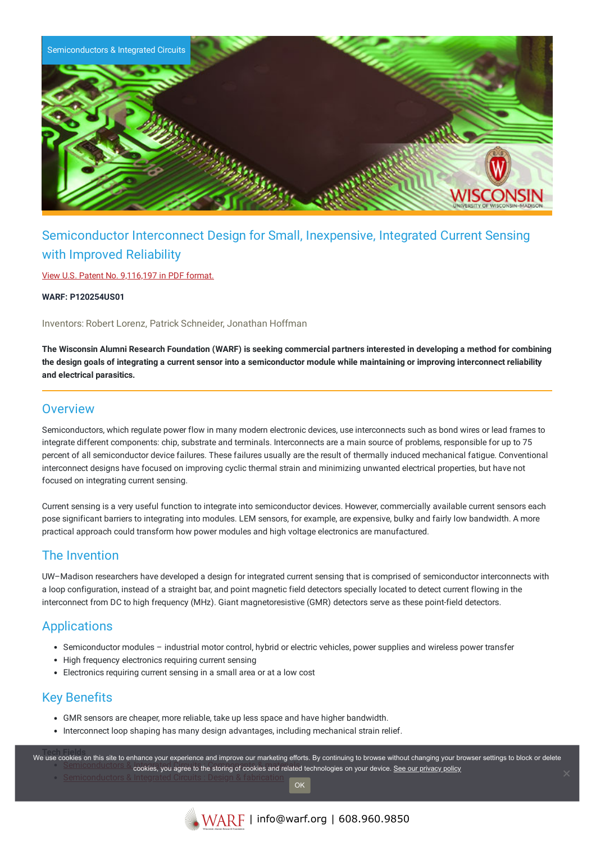

# Semiconductor Interconnect Design for Small, Inexpensive, Integrated Current Sensing with Improved Reliability

View U.S. Patent No. [9,116,197](https://www.warf.org/wp-content/uploads/technologies/ipstatus/P120254US01.PDF) in PDF format.

**WARF: P120254US01**

Inventors: Robert Lorenz, Patrick Schneider, Jonathan Hoffman

The Wisconsin Alumni Research Foundation (WARF) is seeking commercial partners interested in developing a method for combining the design goals of integrating a current sensor into a semiconductor module while maintaining or improving interconnect reliability **and electrical parasitics.**

### **Overview**

Semiconductors, which regulate power flow in many modern electronic devices, use interconnects such as bond wires or lead frames to integrate different components: chip, substrate and terminals. Interconnects are a main source of problems, responsible for up to 75 percent of all semiconductor device failures. These failures usually are the result of thermally induced mechanical fatigue. Conventional interconnect designs have focused on improving cyclic thermal strain and minimizing unwanted electrical properties, but have not focused on integrating current sensing.

Current sensing is a very useful function to integrate into semiconductor devices. However, commercially available current sensors each pose significant barriers to integrating into modules. LEM sensors, for example, are expensive, bulky and fairly low bandwidth. A more practical approach could transform how power modules and high voltage electronics are manufactured.

## The Invention

UW–Madison researchers have developed a design for integrated current sensing that is comprised of semiconductor interconnects with a loop configuration, instead of a straight bar, and point magnetic field detectors specially located to detect current flowing in the interconnect from DC to high frequency (MHz). Giant magnetoresistive (GMR) detectors serve as these point-field detectors.

## **Applications**

- Semiconductor modules industrial motor control, hybrid or electric vehicles, power supplies and wireless power transfer
- High frequency electronics requiring current sensing
- Electronics requiring current sensing in a small area or at a low cost

## Key Benefits

- GMR sensors are cheaper, more reliable, take up less space and have higher bandwidth.
- Interconnect loop shaping has many design advantages, including mechanical strain relief.

we use cookies on this site to enhance your experience and improve our marketing efforts. By continuing to browse without changing your browser settings to block or delete Semiconductors [cookies, you agree to the storing of cookies and related](https://www.warf.org/search-results/?s_tech_category=components-materials&searchwp=&search-technology=1) technologies on your device. [See our privacy policy](https://www.warf.org/privacy-policy/)

OK